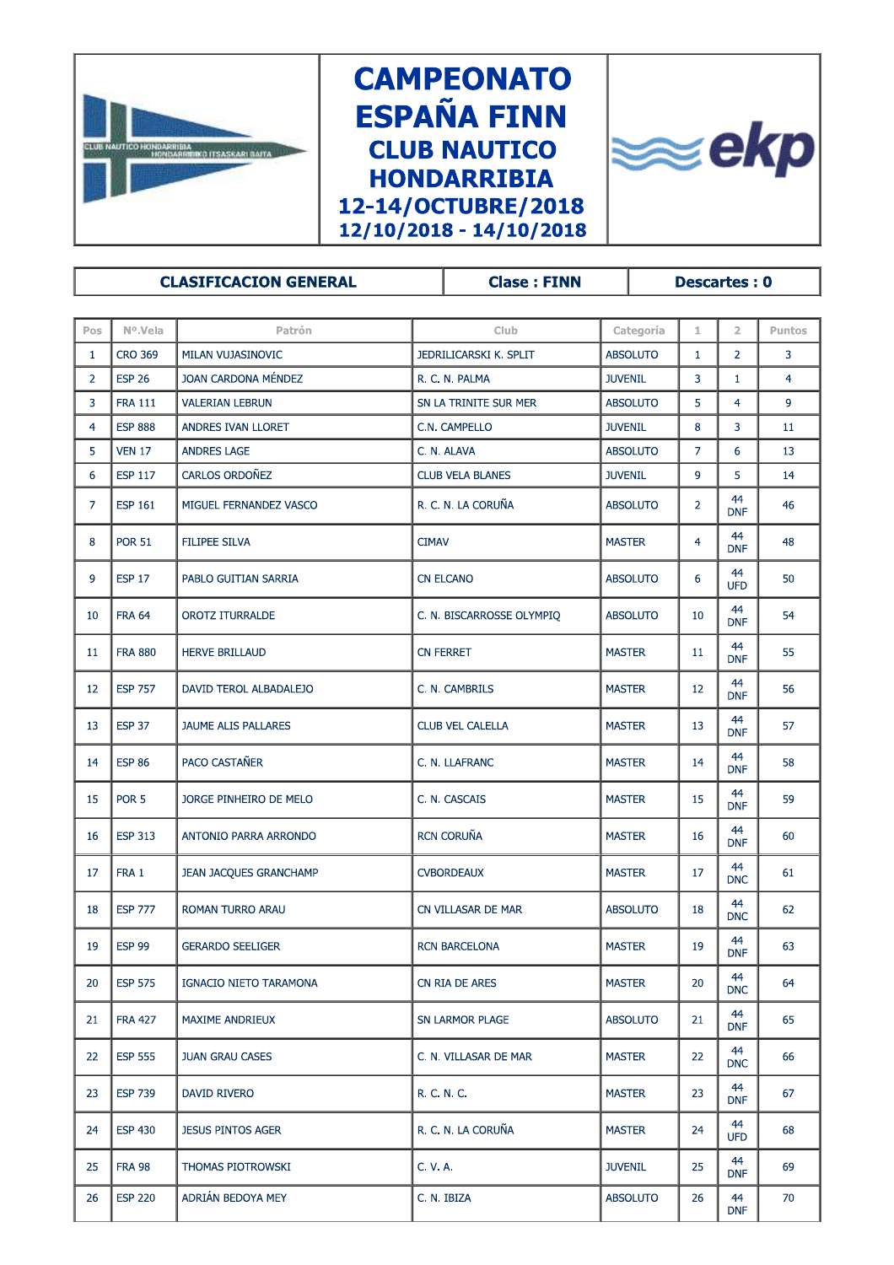

**ESP 220** 

26

ADRIÁN BEDOYA MEY

**CAMPEONATO ESPAÑA FINN CLUB NAUTICO HONDARRIBIA** 12-14/OCTUBRE/2018 12/10/2018 - 14/10/2018



**CLASIFICACION GENERAL Clase: FINN Descartes: 0** Nº.Vela Puntos  $Pos$ Patrón Club Categoría  $\mathbf{1}$  $\overline{z}$  $\mathbf{1}$ **CRO 369** MILAN VUJASINOVIC JEDRILICARSKI K. SPLIT **ABSOLUTO**  $\mathbf{1}$  $\overline{2}$  $\overline{3}$  $\overline{2}$ **ESP 26** JOAN CARDONA MÉNDEZ R. C. N. PALMA **JUVENIL**  $\overline{3}$  $\mathbf 1$  $\overline{4}$ **FRA 111** SN LA TRINITE SUR MER  $\overline{4}$  $\ddot{q}$  $\overline{3}$ **VALERIAN LEBRUN ABSOLUTO**  $\overline{5}$  $\overline{4}$ **ESP 888** ANDRES IVAN LLORET C.N. CAMPELLO **JUVENIL** 8  $\overline{3}$  $11$  $\overline{5}$ **VEN 17 ANDRES LAGE ABSOLUTO**  $\overline{7}$  $6\phantom{a}$ 13 C. N. ALAVA CARLOS ORDOÑEZ **ESP 117** 6 **CLUB VELA BLANES JUVENIL**  $\mathbf{q}$  $\overline{5}$  $14$  $44$ **ESP 161** MIGUEL FERNANDEZ VASCO **ABSOLUTO**  $\overline{7}$ R. C. N. LA CORUÑA  $\overline{2}$ 46 **DNF** 44 **POR 51** FILIPEE SILVA  $\overline{8}$ **CIMAV MASTER** 48  $\overline{4}$ **DNF** 44  $\overline{9}$ **ESP 17** PABLO GUITIAN SARRIA **CN ELCANO ABSOLUTO**  $6\phantom{a}$ 50 UFD 44 10 **FRA 64** OROTZ ITURRALDE C. N. BISCARROSSE OLYMPIQ **ABSOLUTO** 10 54 **DNE** 44 11 **FRA 880 HERVE BRILLAUD** CN FFRRFT **MASTER** 11 55 **DNF** 44 **ESP 757** DAVID TEROL ALBADALEJO C. N. CAMBRILS **MASTER**  $12$  $12$ 56 **DNF**  $44$ 13 **ESP 37** JAUME ALIS PALLARES **CLUB VEL CALELLA MASTER** 13 57 **DNF** 44 14 **ESP 86 PACO CASTAÑER** C. N. LLAFRANC **MASTER**  $14$ 58 **DNF**  $44$ 15 POR<sub>5</sub> JORGE PINHEIRO DE MELO C N CASCAIS **MASTER** 15 59 **DNF** 44 **ESP 313** ANTONIO PARRA ARRONDO **RCN CORUÑA MASTER** 16 60 16 **DNF** 44  $17$ FRA 1 **JEAN JACQUES GRANCHAMP CVBORDEAUX MASTER** 17 61 **DNC** 44 18 **ESP 777 ROMAN TURRO ARAU** CN VILLASAR DE MAR **ABSOLUTO** 18 62 **DNC** 44  $19$ **ESP 99 GERARDO SEELIGER RCN BARCELONA MASTER**  $19$ 63 **DNF** 44 **ESP 575** IGNACIO NIETO TARAMONA CN RIA DE ARES **MASTER**  $20$ 20 64 **DNC** 44  $21$ **FRA 427** MAXIME ANDRIEUX **SN LARMOR PLAGE ABSOLUTO**  $21$ 65 **DNF**  $44$ **ESP 555 JUAN GRAU CASES MASTER**  $22$ C. N. VILLASAR DE MAR  $22$ 66 **DNC** 44  $23$ **ESP 739 DAVID RIVERO** R. C. N. C. **MASTER** 23 67 **DNF**  $44$ **ESP 430 JESUS PINTOS AGER** R. C. N. LA CORUÑA **MASTER** 68  $24$  $24$ UED 44 THOMAS PIOTROWSKI **JUVENIL** 25 **FRA 98** C. V. A. 25 69 **DNF** 

C. N. IBIZA

**ABSOLUTO** 

26

 $44$ 

**DNF** 

 $70$